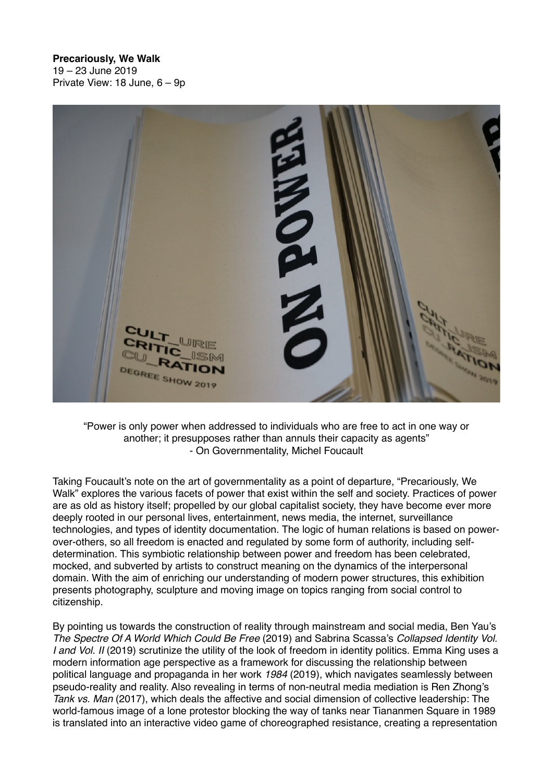## **Precariously, We Walk**

19 – 23 June 2019 Private View: 18 June, 6 – 9p



"Power is only power when addressed to individuals who are free to act in one way or another; it presupposes rather than annuls their capacity as agents" - On Governmentality, Michel Foucault

Taking Foucault's note on the art of governmentality as a point of departure, "Precariously, We Walk" explores the various facets of power that exist within the self and society. Practices of power are as old as history itself; propelled by our global capitalist society, they have become ever more deeply rooted in our personal lives, entertainment, news media, the internet, surveillance technologies, and types of identity documentation. The logic of human relations is based on powerover-others, so all freedom is enacted and regulated by some form of authority, including selfdetermination. This symbiotic relationship between power and freedom has been celebrated, mocked, and subverted by artists to construct meaning on the dynamics of the interpersonal domain. With the aim of enriching our understanding of modern power structures, this exhibition presents photography, sculpture and moving image on topics ranging from social control to citizenship.

By pointing us towards the construction of reality through mainstream and social media, Ben Yau's *The Spectre Of A World Which Could Be Free* (2019) and Sabrina Scassa's *Collapsed Identity Vol. I and Vol. II* (2019) scrutinize the utility of the look of freedom in identity politics. Emma King uses a modern information age perspective as a framework for discussing the relationship between political language and propaganda in her work *1984* (2019), which navigates seamlessly between pseudo-reality and reality. Also revealing in terms of non-neutral media mediation is Ren Zhong's *Tank vs. Man* (2017), which deals the affective and social dimension of collective leadership: The world-famous image of a lone protestor blocking the way of tanks near Tiananmen Square in 1989 is translated into an interactive video game of choreographed resistance, creating a representation